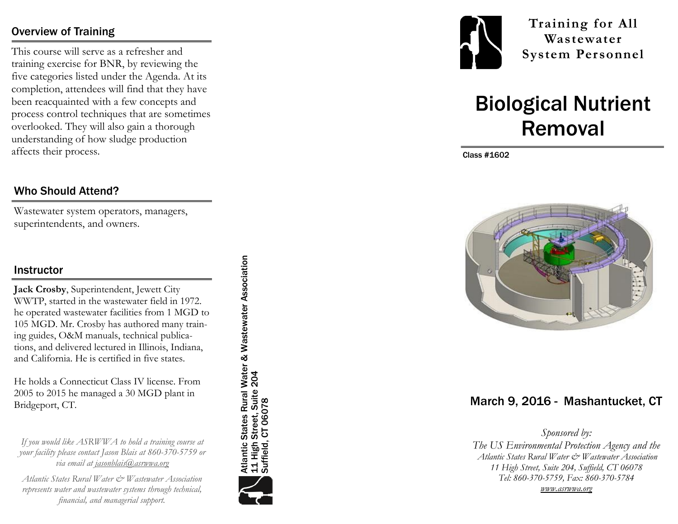## Overview of Training

This course will serve as a refresher and training exercise for BNR, by reviewing the five categories listed under the Agenda. At its completion, attendees will find that they have been reacquainted with a few concepts and process control techniques that are sometimes overlooked. They will also gain a thorough understanding of how sludge production affects their process.

#### Who Should Attend?

Wastewater system operators, managers, superintendents, and owners.

#### **Instructor**

**Jack Crosby**, Superintendent, Jewett City WWTP, started in the wastewater field in 1972. he operated wastewater facilities from 1 MGD to 105 MGD. Mr. Crosby has authored many training guides, O&M manuals, technical publications, and delivered lectured in Illinois, Indiana, and California. He is certified in five states.

He holds a Connecticut Class IV license. From 2005 to 2015 he managed a 30 MGD plant in Bridgeport, CT.

*If you would like ASRWWA to hold a training course at your facility please contact Jason Blais at 860 -370 -5759 or via email at jasonblais@asrwwa.org*

*Atlantic States Rural Water & Wastewater Association represents water and wastewater systems through technical, financial, and managerial support.* 

Atlantic States Rural Water & Wastewater Association<br>11 High Street, Suite 204<br>Suffield, CT 06078 Atlantic States Rural Water & Wastewater Association 11 High Street, Suite 204 Suffield, CT 06078





**Training for All Wastewater System Personnel**

# Biological Nutrient Removal

Class #1602



## March 9, 2016 - Mashantucket, CT

*Sponsored by: The US Environmental Protection Agency and the Atlantic States Rural Water & Wastewater Association 11 High Street, Suite 204, Suffield, CT 06078 Tel: 860 -370 -5759, Fax: 860 -370 -5784*

*www.asrwwa.org*